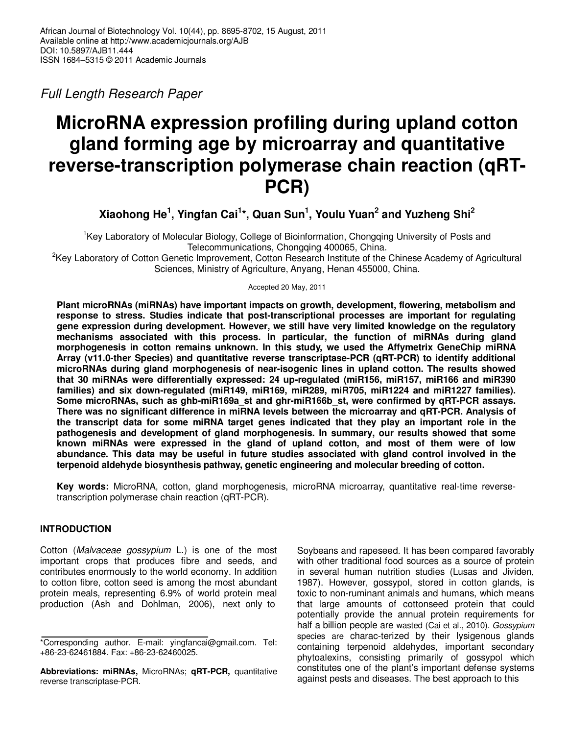Full Length Research Paper

# **MicroRNA expression profiling during upland cotton gland forming age by microarray and quantitative reverse-transcription polymerase chain reaction (qRT-PCR)**

**Xiaohong He<sup>1</sup> , Yingfan Cai<sup>1</sup> \*, Quan Sun<sup>1</sup> , Youlu Yuan<sup>2</sup> and Yuzheng Shi<sup>2</sup>**

<sup>1</sup>Key Laboratory of Molecular Biology, College of Bioinformation, Chongqing University of Posts and Telecommunications, Chongqing 400065, China.

<sup>2</sup>Key Laboratory of Cotton Genetic Improvement, Cotton Research Institute of the Chinese Academy of Agricultural Sciences, Ministry of Agriculture, Anyang, Henan 455000, China.

Accepted 20 May, 2011

**Plant microRNAs (miRNAs) have important impacts on growth, development, flowering, metabolism and response to stress. Studies indicate that post-transcriptional processes are important for regulating gene expression during development. However, we still have very limited knowledge on the regulatory mechanisms associated with this process. In particular, the function of miRNAs during gland morphogenesis in cotton remains unknown. In this study, we used the Affymetrix GeneChip miRNA Array (v11.0-ther Species) and quantitative reverse transcriptase-PCR (qRT-PCR) to identify additional microRNAs during gland morphogenesis of near-isogenic lines in upland cotton. The results showed that 30 miRNAs were differentially expressed: 24 up-regulated (miR156, miR157, miR166 and miR390 families) and six down-regulated (miR149, miR169, miR289, miR705, miR1224 and miR1227 families). Some microRNAs, such as ghb-miR169a\_st and ghr-miR166b\_st, were confirmed by qRT-PCR assays. There was no significant difference in miRNA levels between the microarray and qRT-PCR. Analysis of the transcript data for some miRNA target genes indicated that they play an important role in the pathogenesis and development of gland morphogenesis. In summary, our results showed that some known miRNAs were expressed in the gland of upland cotton, and most of them were of low abundance. This data may be useful in future studies associated with gland control involved in the terpenoid aldehyde biosynthesis pathway, genetic engineering and molecular breeding of cotton.** 

**Key words:** MicroRNA, cotton, gland morphogenesis, microRNA microarray, quantitative real-time reversetranscription polymerase chain reaction (qRT-PCR).

# **INTRODUCTION**

Cotton (Malvaceae gossypium L.) is one of the most important crops that produces fibre and seeds, and contributes enormously to the world economy. In addition to cotton fibre, cotton seed is among the most abundant protein meals, representing 6.9% of world protein meal production (Ash and Dohlman, 2006), next only to

Soybeans and rapeseed. It has been compared favorably with other traditional food sources as a source of protein in several human nutrition studies (Lusas and Jividen, 1987). However, gossypol, stored in cotton glands, is toxic to non-ruminant animals and humans, which means that large amounts of cottonseed protein that could potentially provide the annual protein requirements for half a billion people are wasted (Cai et al., 2010). Gossypium species are charac-terized by their lysigenous glands containing terpenoid aldehydes, important secondary phytoalexins, consisting primarily of gossypol which constitutes one of the plant's important defense systems against pests and diseases. The best approach to this

<sup>\*</sup>Corresponding author. E-mail: yingfancai@gmail.com. Tel: +86-23-62461884. Fax: +86-23-62460025.

**Abbreviations: miRNAs,** MicroRNAs; **qRT-PCR,** quantitative reverse transcriptase-PCR.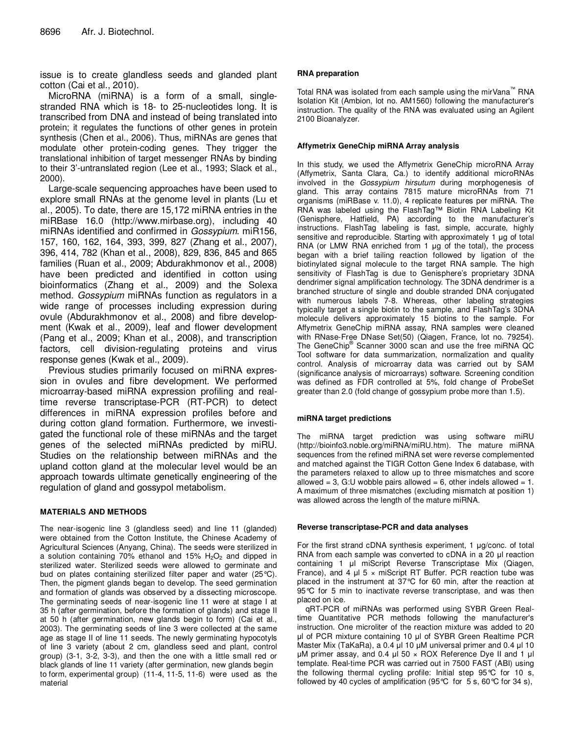issue is to create glandless seeds and glanded plant cotton (Cai et al., 2010).

MicroRNA (miRNA) is a form of a small, singlestranded RNA which is 18- to 25-nucleotides long. It is transcribed from DNA and instead of being translated into protein; it regulates the functions of other genes in protein synthesis (Chen et al., 2006). Thus, miRNAs are genes that modulate other protein-coding genes. They trigger the translational inhibition of target messenger RNAs by binding to their 3'-untranslated region (Lee et al., 1993; Slack et al., 2000).

Large-scale sequencing approaches have been used to explore small RNAs at the genome level in plants (Lu et al., 2005). To date, there are 15,172 miRNA entries in the miRBase 16.0 (http://www.mirbase.org), including 40 miRNAs identified and confirmed in *Gossypium*. miR156, 157, 160, 162, 164, 393, 399, 827 (Zhang et al., 2007), 396, 414, 782 (Khan et al., 2008), 829, 836, 845 and 865 families (Ruan et al., 2009; Abdurakhmonov et al., 2008) have been predicted and identified in cotton using bioinformatics (Zhang et al., 2009) and the Solexa method. Gossypium miRNAs function as regulators in a wide range of processes including expression during ovule (Abdurakhmonov et al., 2008) and fibre development (Kwak et al., 2009), leaf and flower development (Pang et al., 2009; Khan et al., 2008), and transcription factors, cell division-regulating proteins and virus response genes (Kwak et al., 2009).

Previous studies primarily focused on miRNA expression in ovules and fibre development. We performed microarray-based miRNA expression profiling and realtime reverse transcriptase-PCR (RT-PCR) to detect differences in miRNA expression profiles before and during cotton gland formation. Furthermore, we investigated the functional role of these miRNAs and the target genes of the selected miRNAs predicted by miRU. Studies on the relationship between miRNAs and the upland cotton gland at the molecular level would be an approach towards ultimate genetically engineering of the regulation of gland and gossypol metabolism.

### **MATERIALS AND METHODS**

The near-isogenic line 3 (glandless seed) and line 11 (glanded) were obtained from the Cotton Institute, the Chinese Academy of Agricultural Sciences (Anyang, China). The seeds were sterilized in a solution containing 70% ethanol and 15%  $H<sub>2</sub>O<sub>2</sub>$  and dipped in sterilized water. Sterilized seeds were allowed to germinate and bud on plates containing sterilized filter paper and water (25°C). Then, the pigment glands began to develop. The seed germination and formation of glands was observed by a dissecting microscope. The germinating seeds of near-isogenic line 11 were at stage I at 35 h (after germination, before the formation of glands) and stage II at 50 h (after germination, new glands begin to form) (Cai et al., 2003). The germinating seeds of line 3 were collected at the same age as stage II of line 11 seeds. The newly germinating hypocotyls of line 3 variety (about 2 cm, glandless seed and plant, control group) (3-1, 3-2, 3-3), and then the one with a little small red or black glands of line 11 variety (after germination, new glands begin to form, experimental group) (11-4, 11-5, 11-6) were used as the material

#### **RNA preparation**

Total RNA was isolated from each sample using the mirVana™ RNA Isolation Kit (Ambion, lot no. AM1560) following the manufacturer's instruction. The quality of the RNA was evaluated using an Agilent 2100 Bioanalyzer.

#### **Affymetrix GeneChip miRNA Array analysis**

In this study, we used the Affymetrix GeneChip microRNA Array (Affymetrix, Santa Clara, Ca.) to identify additional microRNAs involved in the Gossypium hirsutum during morphogenesis of gland. This array contains 7815 mature microRNAs from 71 organisms (miRBase v. 11.0), 4 replicate features per miRNA. The RNA was labeled using the FlashTag™ Biotin RNA Labeling Kit (Genisphere, Hatfield, PA) according to the manufacturer's instructions. FlashTag labeling is fast, simple, accurate, highly sensitive and reproducible. Starting with approximately 1 µg of total RNA (or LMW RNA enriched from 1 µg of the total), the process began with a brief tailing reaction followed by ligation of the biotinylated signal molecule to the target RNA sample. The high sensitivity of FlashTag is due to Genisphere's proprietary 3DNA dendrimer signal amplification technology. The 3DNA dendrimer is a branched structure of single and double stranded DNA conjugated with numerous labels 7-8. Whereas, other labeling strategies typically target a single biotin to the sample, and FlashTag's 3DNA molecule delivers approximately 15 biotins to the sample. For Affymetrix GeneChip miRNA assay, RNA samples were cleaned with RNase-Free DNase Set(50) (Qiagen, France, lot no. 79254). The GeneChip® Scanner 3000 scan and use the free miRNA QC Tool software for data summarization, normalization and quality control. Analysis of microarray data was carried out by SAM (significance analysis of microarrays) software. Screening condition was defined as FDR controlled at 5%, fold change of ProbeSet greater than 2.0 (fold change of gossypium probe more than 1.5).

### **miRNA target predictions**

The miRNA target prediction was using software miRU (http://bioinfo3.noble.org/miRNA/miRU.htm). The mature miRNA sequences from the refined miRNA set were reverse complemented and matched against the TIGR Cotton Gene Index 6 database, with the parameters relaxed to allow up to three mismatches and score allowed = 3, G:U wobble pairs allowed = 6, other indels allowed = 1. A maximum of three mismatches (excluding mismatch at position 1) was allowed across the length of the mature miRNA.

#### **Reverse transcriptase-PCR and data analyses**

For the first strand cDNA synthesis experiment, 1 µg/conc. of total RNA from each sample was converted to cDNA in a 20 µl reaction containing 1 µl miScript Reverse Transcriptase Mix (Qiagen, France), and 4  $\mu$ l 5  $\times$  miScript RT Buffer. PCR reaction tube was placed in the instrument at 37°C for 60 min, after the reaction at 95℃ for 5 min to inactivate reverse transcriptase, and was then placed on ice.

qRT-PCR of miRNAs was performed using SYBR Green Realtime Quantitative PCR methods following the manufacturer's instruction. One microliter of the reaction mixture was added to 20 µl of PCR mixture containing 10 µl of SYBR Green Realtime PCR Master Mix (TaKaRa), a 0.4 µl 10 µM universal primer and 0.4 µl 10  $\mu$ M primer assay, and 0.4  $\mu$ I 50  $\times$  ROX Reference Dye II and 1  $\mu$ I template. Real-time PCR was carried out in 7500 FAST (ABI) using the following thermal cycling profile: Initial step 95°C for 10 s, followed by 40 cycles of amplification (95 $\degree$ C for 5 s, 60 $\degree$ C for 34 s),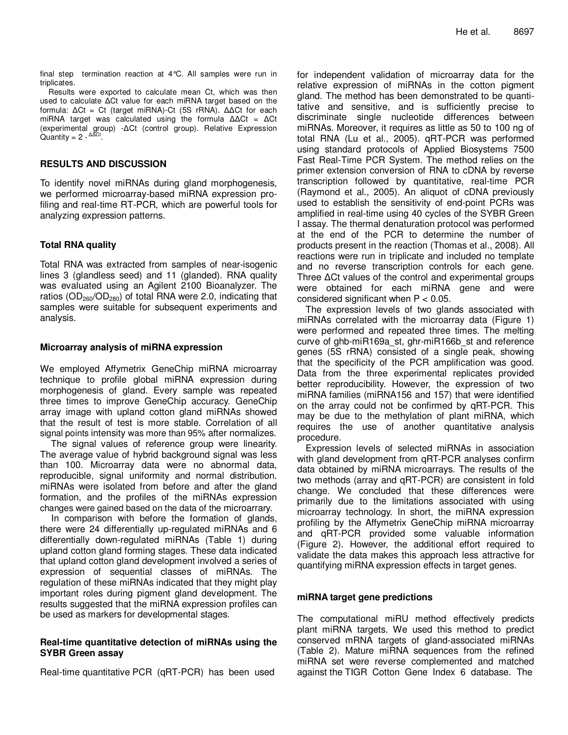final step termination reaction at 4°C. All samples were run in triplicates.

Results were exported to calculate mean Ct, which was then used to calculate ∆Ct value for each miRNA target based on the formula: ∆Ct = Ct (target miRNA)-Ct (5S rRNA). ∆∆Ct for each miRNA target was calculated using the formula ∆∆Ct = ∆Ct (experimental group) -∆Ct (control group). Relative Expression Quantity = 2 -  $\Delta$ ∆Ct.

## **RESULTS AND DISCUSSION**

To identify novel miRNAs during gland morphogenesis, we performed microarray-based miRNA expression profiling and real-time RT-PCR, which are powerful tools for analyzing expression patterns.

# **Total RNA quality**

Total RNA was extracted from samples of near-isogenic lines 3 (glandless seed) and 11 (glanded). RNA quality was evaluated using an Agilent 2100 Bioanalyzer. The ratios ( $OD<sub>260</sub>/OD<sub>280</sub>$ ) of total RNA were 2.0, indicating that samples were suitable for subsequent experiments and analysis.

## **Microarray analysis of miRNA expression**

We employed Affymetrix GeneChip miRNA microarray technique to profile global miRNA expression during morphogenesis of gland. Every sample was repeated three times to improve GeneChip accuracy. GeneChip array image with upland cotton gland miRNAs showed that the result of test is more stable. Correlation of all signal points intensity was more than 95% after normalizes.

 The signal values of reference group were linearity. The average value of hybrid background signal was less than 100. Microarray data were no abnormal data, reproducible, signal uniformity and normal distribution. miRNAs were isolated from before and after the gland formation, and the profiles of the miRNAs expression changes were gained based on the data of the microarrary.

 In comparison with before the formation of glands, there were 24 differentially up-regulated miRNAs and 6 differentially down-regulated miRNAs (Table 1) during upland cotton gland forming stages. These data indicated that upland cotton gland development involved a series of expression of sequential classes of miRNAs. The regulation of these miRNAs indicated that they might play important roles during pigment gland development. The results suggested that the miRNA expression profiles can be used as markers for developmental stages.

# **Real-time quantitative detection of miRNAs using the SYBR Green assay**

Real-time quantitative PCR (qRT-PCR) has been used

for independent validation of microarray data for the relative expression of miRNAs in the cotton pigment gland. The method has been demonstrated to be quantitative and sensitive, and is sufficiently precise to discriminate single nucleotide differences between miRNAs. Moreover, it requires as little as 50 to 100 ng of total RNA (Lu et al., 2005). qRT-PCR was performed using standard protocols of Applied Biosystems 7500 Fast Real-Time PCR System. The method relies on the primer extension conversion of RNA to cDNA by reverse transcription followed by quantitative, real-time PCR (Raymond et al., 2005). An aliquot of cDNA previously used to establish the sensitivity of end-point PCRs was amplified in real-time using 40 cycles of the SYBR Green I assay. The thermal denaturation protocol was performed at the end of the PCR to determine the number of products present in the reaction (Thomas et al., 2008). All reactions were run in triplicate and included no template and no reverse transcription controls for each gene. Three ∆Ct values of the control and experimental groups were obtained for each miRNA gene and were considered significant when  $P < 0.05$ .

The expression levels of two glands associated with miRNAs correlated with the microarray data (Figure 1) were performed and repeated three times. The melting curve of ghb-miR169a\_st, ghr-miR166b\_st and reference genes (5S rRNA) consisted of a single peak, showing that the specificity of the PCR amplification was good. Data from the three experimental replicates provided better reproducibility. However, the expression of two miRNA families (miRNA156 and 157) that were identified on the array could not be confirmed by qRT-PCR. This may be due to the methylation of plant miRNA, which requires the use of another quantitative analysis procedure.

Expression levels of selected miRNAs in association with gland development from qRT-PCR analyses confirm data obtained by miRNA microarrays. The results of the two methods (array and qRT-PCR) are consistent in fold change. We concluded that these differences were primarily due to the limitations associated with using microarray technology. In short, the miRNA expression profiling by the Affymetrix GeneChip miRNA microarray and qRT-PCR provided some valuable information (Figure 2). However, the additional effort required to validate the data makes this approach less attractive for quantifying miRNA expression effects in target genes.

### **miRNA target gene predictions**

The computational miRU method effectively predicts plant miRNA targets. We used this method to predict conserved mRNA targets of gland-associated miRNAs (Table 2). Mature miRNA sequences from the refined miRNA set were reverse complemented and matched against the TIGR Cotton Gene Index 6 database. The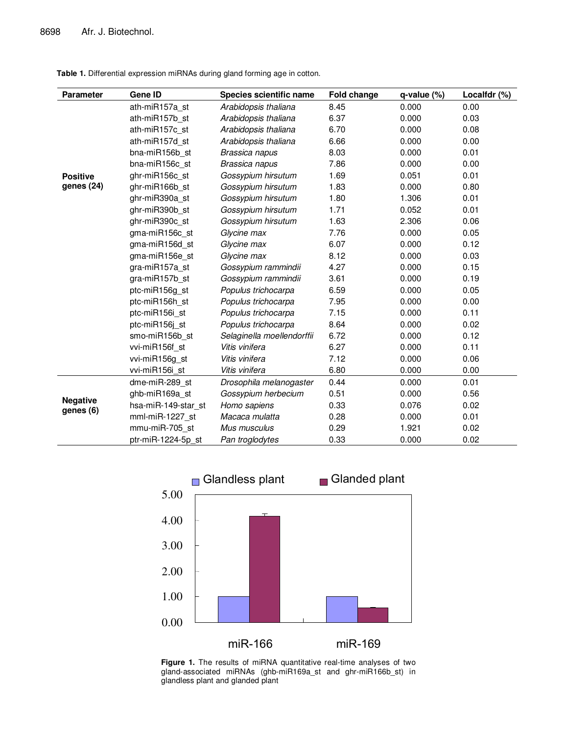**Table 1.** Differential expression miRNAs during gland forming age in cotton.

| <b>Parameter</b>             | Gene ID             | Species scientific name    | <b>Fold change</b> | $q$ -value $(\%)$ | Localfdr (%) |
|------------------------------|---------------------|----------------------------|--------------------|-------------------|--------------|
|                              | ath-miR157a st      | Arabidopsis thaliana       | 8.45               | 0.000             | 0.00         |
|                              | ath-miR157b st      | Arabidopsis thaliana       | 6.37               | 0.000             | 0.03         |
|                              | ath-miR157c st      | Arabidopsis thaliana       | 6.70               | 0.000             | 0.08         |
|                              | ath-miR157d st      | Arabidopsis thaliana       | 6.66               | 0.000             | 0.00         |
|                              | bna-miR156b st      | Brassica napus             | 8.03               | 0.000             | 0.01         |
|                              | bna-miR156c st      | Brassica napus             | 7.86               | 0.000             | 0.00         |
| <b>Positive</b>              | ghr-miR156c st      | Gossypium hirsutum         | 1.69               | 0.051             | 0.01         |
| genes (24)                   | ghr-miR166b st      | Gossypium hirsutum         | 1.83               | 0.000             | 0.80         |
|                              | ghr-miR390a st      | Gossypium hirsutum         | 1.80               | 1.306             | 0.01         |
|                              | ghr-miR390b st      | Gossypium hirsutum         | 1.71               | 0.052             | 0.01         |
|                              | ghr-miR390c_st      | Gossypium hirsutum         | 1.63               | 2.306             | 0.06         |
|                              | gma-miR156c st      | Glycine max                | 7.76               | 0.000             | 0.05         |
|                              | gma-miR156d st      | Glycine max                | 6.07               | 0.000             | 0.12         |
|                              | gma-miR156e st      | Glycine max                | 8.12               | 0.000             | 0.03         |
|                              | gra-miR157a st      | Gossypium rammindii        | 4.27               | 0.000             | 0.15         |
|                              | gra-miR157b st      | Gossypium rammindii        | 3.61               | 0.000             | 0.19         |
|                              | ptc-miR156g st      | Populus trichocarpa        | 6.59               | 0.000             | 0.05         |
|                              | ptc-miR156h st      | Populus trichocarpa        | 7.95               | 0.000             | 0.00         |
|                              | ptc-miR156i st      | Populus trichocarpa        | 7.15               | 0.000             | 0.11         |
|                              | ptc-miR156j st      | Populus trichocarpa        | 8.64               | 0.000             | 0.02         |
|                              | smo-miR156b st      | Selaginella moellendorffii | 6.72               | 0.000             | 0.12         |
|                              | vvi-miR156f st      | Vitis vinifera             | 6.27               | 0.000             | 0.11         |
|                              | vvi-miR156g st      | Vitis vinifera             | 7.12               | 0.000             | 0.06         |
|                              | vvi-miR156i_st      | Vitis vinifera             | 6.80               | 0.000             | 0.00         |
| <b>Negative</b><br>genes (6) | dme-miR-289 st      | Drosophila melanogaster    | 0.44               | 0.000             | 0.01         |
|                              | ghb-miR169a st      | Gossypium herbecium        | 0.51               | 0.000             | 0.56         |
|                              | hsa-miR-149-star st | Homo sapiens               | 0.33               | 0.076             | 0.02         |
|                              | mml-miR-1227 st     | Macaca mulatta             | 0.28               | 0.000             | 0.01         |
|                              | mmu-miR-705 st      | Mus musculus               | 0.29               | 1.921             | 0.02         |
|                              | ptr-miR-1224-5p st  | Pan troglodytes            | 0.33               | 0.000             | 0.02         |



**Figure 1.** The results of miRNA quantitative real-time analyses of two gland-associated miRNAs (ghb-miR169a\_st and ghr-miR166b\_st) in glandless plant and glanded plant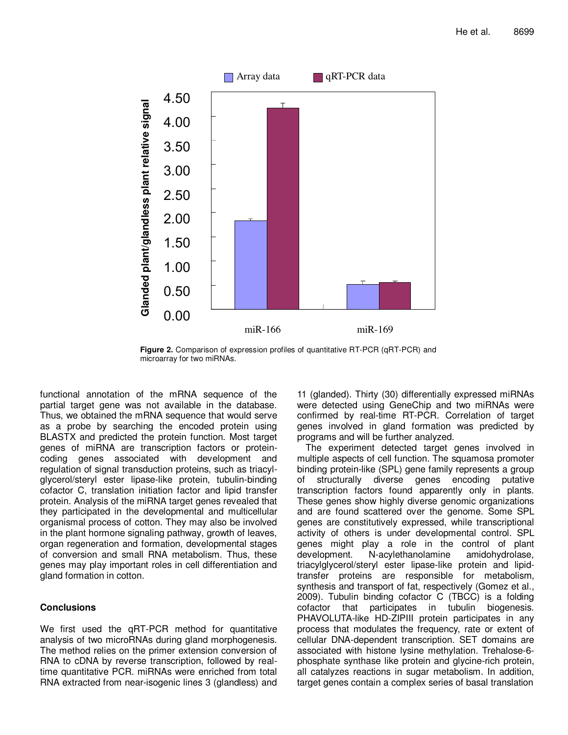

**Figure 2.** Comparison of expression profiles of quantitative RT-PCR (qRT-PCR) and microarray for two miRNAs.

functional annotation of the mRNA sequence of the partial target gene was not available in the database. Thus, we obtained the mRNA sequence that would serve as a probe by searching the encoded protein using BLASTX and predicted the protein function. Most target genes of miRNA are transcription factors or proteincoding genes associated with development and regulation of signal transduction proteins, such as triacylglycerol/steryl ester lipase-like protein, tubulin-binding cofactor C, translation initiation factor and lipid transfer protein. Analysis of the miRNA target genes revealed that they participated in the developmental and multicellular organismal process of cotton. They may also be involved in the plant hormone signaling pathway, growth of leaves, organ regeneration and formation, developmental stages of conversion and small RNA metabolism. Thus, these genes may play important roles in cell differentiation and gland formation in cotton.

# **Conclusions**

We first used the **qRT-PCR** method for quantitative analysis of two microRNAs during gland morphogenesis. The method relies on the primer extension conversion of RNA to cDNA by reverse transcription, followed by realtime quantitative PCR. miRNAs were enriched from total RNA extracted from near-isogenic lines 3 (glandless) and

11 (glanded). Thirty (30) differentially expressed miRNAs were detected using GeneChip and two miRNAs were confirmed by real-time RT-PCR. Correlation of target genes involved in gland formation was predicted by programs and will be further analyzed.

The experiment detected target genes involved in multiple aspects of cell function. The squamosa promoter binding protein-like (SPL) gene family represents a group of structurally diverse genes encoding putative transcription factors found apparently only in plants. These genes show highly diverse genomic organizations and are found scattered over the genome. Some SPL genes are constitutively expressed, while transcriptional activity of others is under developmental control. SPL genes might play a role in the control of plant development. N-acylethanolamine amidohydrolase, triacylglycerol/steryl ester lipase-like protein and lipidtransfer proteins are responsible for metabolism, synthesis and transport of fat, respectively (Gomez et al., 2009). Tubulin binding cofactor C (TBCC) is a folding cofactor that participates in tubulin biogenesis. PHAVOLUTA-like HD-ZIPIII protein participates in any process that modulates the frequency, rate or extent of cellular DNA-dependent transcription. SET domains are associated with histone lysine methylation. Trehalose-6 phosphate synthase like protein and glycine-rich protein, all catalyzes reactions in sugar metabolism. In addition, target genes contain a complex series of basal translation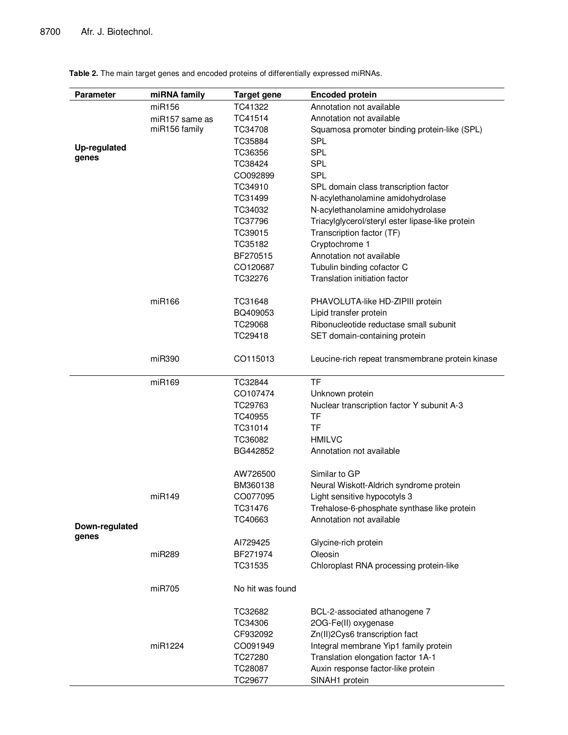| <b>Parameter</b>      | miRNA family   | <b>Target gene</b> | <b>Encoded protein</b>                           |
|-----------------------|----------------|--------------------|--------------------------------------------------|
|                       | miR156         | TC41322            | Annotation not available                         |
|                       | miR157 same as | TC41514            | Annotation not available                         |
|                       | miR156 family  | TC34708            | Squamosa promoter binding protein-like (SPL)     |
|                       |                | TC35884            | <b>SPL</b>                                       |
| Up-regulated<br>genes |                | TC36356            | <b>SPL</b>                                       |
|                       |                | TC38424            | <b>SPL</b>                                       |
|                       |                | CO092899           | <b>SPL</b>                                       |
|                       |                | TC34910            | SPL domain class transcription factor            |
|                       |                | TC31499            | N-acylethanolamine amidohydrolase                |
|                       |                | TC34032            | N-acylethanolamine amidohydrolase                |
|                       |                | TC37796            | Triacylglycerol/steryl ester lipase-like protein |
|                       |                | TC39015            | Transcription factor (TF)                        |
|                       |                | TC35182            | Cryptochrome 1                                   |
|                       |                | BF270515           | Annotation not available                         |
|                       |                | CO120687           | Tubulin binding cofactor C                       |
|                       |                | TC32276            | Translation initiation factor                    |
|                       | miR166         | TC31648            | PHAVOLUTA-like HD-ZIPIII protein                 |
|                       |                | BQ409053           | Lipid transfer protein                           |
|                       |                | TC29068            | Ribonucleotide reductase small subunit           |
|                       |                | TC29418            | SET domain-containing protein                    |
|                       | miR390         | CO115013           | Leucine-rich repeat transmembrane protein kinase |
|                       | miR169         | TC32844            | <b>TF</b>                                        |
|                       |                | CO107474           | Unknown protein                                  |
|                       |                | TC29763            | Nuclear transcription factor Y subunit A-3       |
|                       |                | TC40955            | TF                                               |
|                       |                | TC31014            | <b>TF</b>                                        |
|                       |                | TC36082            | <b>HMILVC</b>                                    |
|                       |                | BG442852           | Annotation not available                         |
|                       |                | AW726500           | Similar to GP                                    |
|                       |                | BM360138           | Neural Wiskott-Aldrich syndrome protein          |
|                       | miR149         | CO077095           | Light sensitive hypocotyls 3                     |
|                       |                | TC31476            | Trehalose-6-phosphate synthase like protein      |
| Down-regulated        |                | TC40663            | Annotation not available                         |
| genes                 |                | AI729425           | Glycine-rich protein                             |
|                       | miR289         | BF271974           | Oleosin                                          |
|                       |                | TC31535            | Chloroplast RNA processing protein-like          |
|                       | miR705         | No hit was found   |                                                  |
|                       |                | TC32682            | BCL-2-associated athanogene 7                    |
|                       |                | TC34306            | 2OG-Fe(II) oxygenase                             |
|                       |                | CF932092           | Zn(II)2Cys6 transcription fact                   |
|                       | miR1224        | CO091949           | Integral membrane Yip1 family protein            |
|                       |                | TC27280            | Translation elongation factor 1A-1               |
|                       |                | TC28087            | Auxin response factor-like protein               |
|                       |                | TC29677            | SINAH1 protein                                   |

**Table 2.** The main target genes and encoded proteins of differentially expressed miRNAs.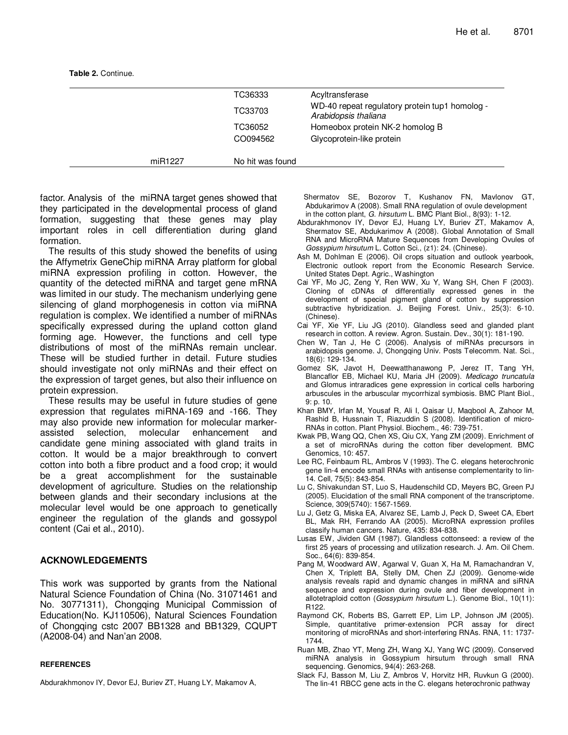**Table 2.** Continue.

|         | TC36333          | Acyltransferase                                                        |
|---------|------------------|------------------------------------------------------------------------|
|         | TC33703          | WD-40 repeat regulatory protein tup1 homolog -<br>Arabidopsis thaliana |
|         | TC36052          | Homeobox protein NK-2 homolog B                                        |
|         | CO094562         | Glycoprotein-like protein                                              |
| miR1227 | No hit was found |                                                                        |

factor. Analysis of the miRNA target genes showed that they participated in the developmental process of gland formation, suggesting that these genes may play important roles in cell differentiation during gland formation.

The results of this study showed the benefits of using the Affymetrix GeneChip miRNA Array platform for global miRNA expression profiling in cotton. However, the quantity of the detected miRNA and target gene mRNA was limited in our study. The mechanism underlying gene silencing of gland morphogenesis in cotton via miRNA regulation is complex. We identified a number of miRNAs specifically expressed during the upland cotton gland forming age. However, the functions and cell type distributions of most of the miRNAs remain unclear. These will be studied further in detail. Future studies should investigate not only miRNAs and their effect on the expression of target genes, but also their influence on protein expression.

These results may be useful in future studies of gene expression that regulates miRNA-169 and -166. They may also provide new information for molecular markerassisted selection, molecular enhancement and candidate gene mining associated with gland traits in cotton. It would be a major breakthrough to convert cotton into both a fibre product and a food crop; it would be a great accomplishment for the sustainable development of agriculture. Studies on the relationship between glands and their secondary inclusions at the molecular level would be one approach to genetically engineer the regulation of the glands and gossypol content (Cai et al., 2010).

# **ACKNOWLEDGEMENTS**

This work was supported by grants from the National Natural Science Foundation of China (No. 31071461 and No. 30771311), Chongqing Municipal Commission of Education(No. KJ110506), Natural Sciences Foundation of Chongqing cstc 2007 BB1328 and BB1329, CQUPT (A2008-04) and Nan'an 2008.

#### **REFERENCES**

Abdurakhmonov IY, Devor EJ, Buriev ZT, Huang LY, Makamov A,

Shermatov SE, Bozorov T, Kushanov FN, Mavlonov GT, Abdukarimov A (2008). Small RNA regulation of ovule development in the cotton plant, G. hirsutum L. BMC Plant Biol., 8(93): 1-12.

- Abdurakhmonov IY, Devor EJ, Huang LY, Buriev ZT, Makamov A, Shermatov SE, Abdukarimov A (2008). Global Annotation of Small RNA and MicroRNA Mature Sequences from Developing Ovules of Gossypium hirsutum L. Cotton Sci., (z1): 24. (Chinese).
- Ash M, Dohlman E (2006). Oil crops situation and outlook yearbook, Electronic outlook report from the Economic Research Service. United States Dept. Agric., Washington
- Cai YF, Mo JC, Zeng Y, Ren WW, Xu Y, Wang SH, Chen F (2003). Cloning of cDNAs of differentially expressed genes in the development of special pigment gland of cotton by suppression subtractive hybridization. J. Beijing Forest. Univ., 25(3): 6-10. (Chinese).
- Cai YF, Xie YF, Liu JG (2010). Glandless seed and glanded plant research in cotton. A review. Agron. Sustain. Dev., 30(1): 181-190.
- Chen W, Tan J, He C (2006). Analysis of miRNAs precursors in arabidopsis genome. J, Chongqing Univ. Posts Telecomm. Nat. Sci., 18(6): 129-134.
- Gomez SK, Javot H, Deewatthanawong P, Jerez IT, Tang YH, Blancaflor EB, Michael KU, Maria JH (2009). Medicago truncatula and Glomus intraradices gene expression in cortical cells harboring arbuscules in the arbuscular mycorrhizal symbiosis. BMC Plant Biol., 9: p. 10.
- Khan BMY, Irfan M, Yousaf R, Ali I, Qaisar U, Maqbool A, Zahoor M, Rashid B, Hussnain T, Riazuddin S (2008). Identification of micro-RNAs in cotton. Plant Physiol. Biochem., 46: 739-751.
- Kwak PB, Wang QQ, Chen XS, Qiu CX, Yang ZM (2009). Enrichment of a set of microRNAs during the cotton fiber development. BMC Genomics, 10: 457.
- Lee RC, Feinbaum RL, Ambros V (1993). The C. elegans heterochronic gene lin-4 encode small RNAs with antisense complementarity to lin-14. Cell, 75(5): 843-854.
- Lu C, Shivakundan ST, Luo S, Haudenschild CD, Meyers BC, Green PJ (2005). Elucidation of the small RNA component of the transcriptome. Science, 309(5740): 1567-1569.
- Lu J, Getz G, Miska EA, Alvarez SE, Lamb J, Peck D, Sweet CA, Ebert BL, Mak RH, Ferrando AA (2005). MicroRNA expression profiles classify human cancers. Nature, 435: 834-838.
- Lusas EW, Jividen GM (1987). Glandless cottonseed: a review of the first 25 years of processing and utilization research. J. Am. Oil Chem. Soc., 64(6): 839-854.
- Pang M, Woodward AW, Agarwal V, Guan X, Ha M, Ramachandran V, Chen X, Triplett BA, Stelly DM, Chen ZJ (2009). Genome-wide analysis reveals rapid and dynamic changes in miRNA and siRNA sequence and expression during ovule and fiber development in allotetraploid cotton (Gossypium hirsutum L.). Genome Biol., 10(11): R122.
- Raymond CK, Roberts BS, Garrett EP, Lim LP, Johnson JM (2005). Simple, quantitative primer-extension PCR assay for direct monitoring of microRNAs and short-interfering RNAs. RNA, 11: 1737- 1744.
- Ruan MB, Zhao YT, Meng ZH, Wang XJ, Yang WC (2009). Conserved miRNA analysis in Gossypium hirsutum through small RNA sequencing. Genomics, 94(4): 263-268.
- Slack FJ, Basson M, Liu Z, Ambros V, Horvitz HR, Ruvkun G (2000). The lin-41 RBCC gene acts in the C. elegans heterochronic pathway